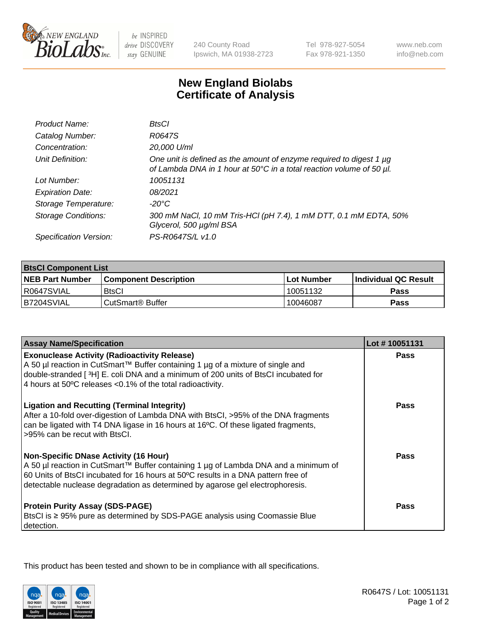

 $be$  INSPIRED drive DISCOVERY stay GENUINE

240 County Road Ipswich, MA 01938-2723 Tel 978-927-5054 Fax 978-921-1350

www.neb.com info@neb.com

## **New England Biolabs Certificate of Analysis**

| Product Name:              | BtsCl                                                                                                                                            |
|----------------------------|--------------------------------------------------------------------------------------------------------------------------------------------------|
| Catalog Number:            | R0647S                                                                                                                                           |
| Concentration:             | 20,000 U/ml                                                                                                                                      |
| Unit Definition:           | One unit is defined as the amount of enzyme required to digest 1 $\mu$ g<br>of Lambda DNA in 1 hour at 50°C in a total reaction volume of 50 µl. |
| Lot Number:                | 10051131                                                                                                                                         |
| <b>Expiration Date:</b>    | 08/2021                                                                                                                                          |
| Storage Temperature:       | -20°C                                                                                                                                            |
| <b>Storage Conditions:</b> | 300 mM NaCl, 10 mM Tris-HCl (pH 7.4), 1 mM DTT, 0.1 mM EDTA, 50%<br>Glycerol, 500 µg/ml BSA                                                      |
| Specification Version:     | PS-R0647S/L v1.0                                                                                                                                 |

| <b>BisCI Component List</b> |                              |                   |                      |  |
|-----------------------------|------------------------------|-------------------|----------------------|--|
| <b>NEB Part Number</b>      | <b>Component Description</b> | <b>Lot Number</b> | Individual QC Result |  |
| R0647SVIAL                  | <b>BtsCl</b>                 | 10051132          | <b>Pass</b>          |  |
| B7204SVIAL                  | CutSmart® Buffer             | 10046087          | Pass                 |  |

| <b>Assay Name/Specification</b>                                                                                                                                                                                                                                                                           | Lot #10051131 |
|-----------------------------------------------------------------------------------------------------------------------------------------------------------------------------------------------------------------------------------------------------------------------------------------------------------|---------------|
| <b>Exonuclease Activity (Radioactivity Release)</b><br>A 50 µl reaction in CutSmart™ Buffer containing 1 µg of a mixture of single and                                                                                                                                                                    | Pass          |
| double-stranded [3H] E. coli DNA and a minimum of 200 units of BtsCl incubated for<br>4 hours at 50°C releases <0.1% of the total radioactivity.                                                                                                                                                          |               |
| <b>Ligation and Recutting (Terminal Integrity)</b><br>After a 10-fold over-digestion of Lambda DNA with BtsCl, >95% of the DNA fragments<br>can be ligated with T4 DNA ligase in 16 hours at 16°C. Of these ligated fragments,<br>>95% can be recut with BtsCl.                                           | <b>Pass</b>   |
| <b>Non-Specific DNase Activity (16 Hour)</b><br>A 50 µl reaction in CutSmart™ Buffer containing 1 µg of Lambda DNA and a minimum of<br>60 Units of BtsCl incubated for 16 hours at 50°C results in a DNA pattern free of<br>detectable nuclease degradation as determined by agarose gel electrophoresis. | Pass          |
| <b>Protein Purity Assay (SDS-PAGE)</b><br>BtsCl is ≥ 95% pure as determined by SDS-PAGE analysis using Coomassie Blue<br>detection.                                                                                                                                                                       | <b>Pass</b>   |

This product has been tested and shown to be in compliance with all specifications.